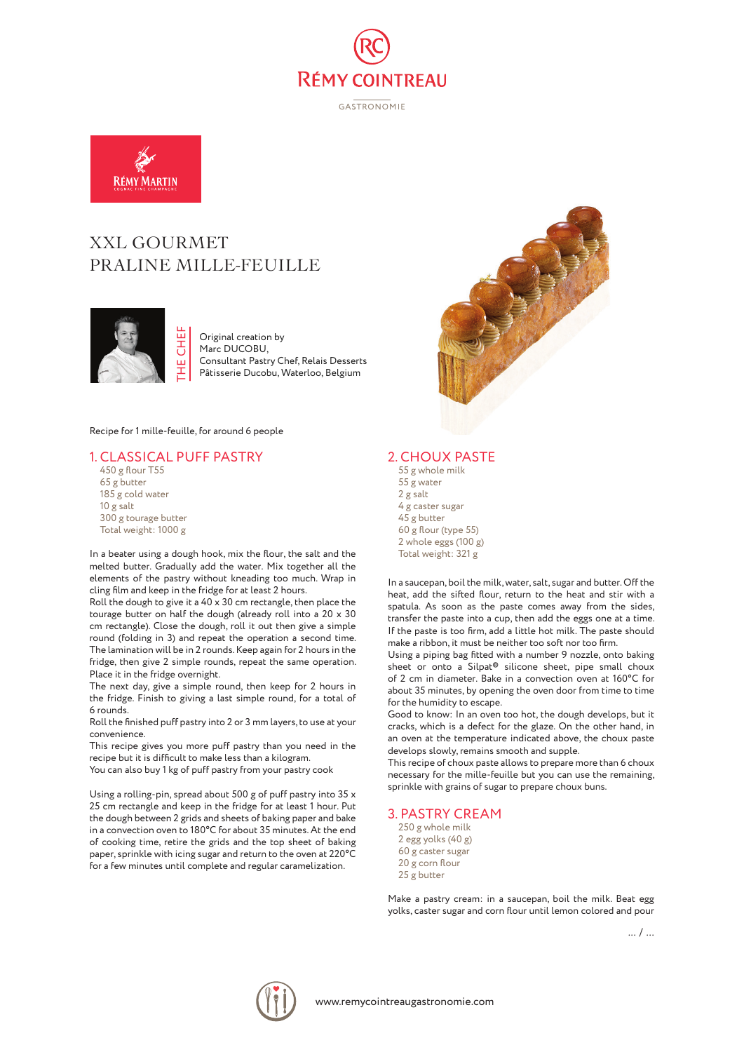

GASTRONOMIE



# XXL GOURMET PRALINE MILLE-FEUILLE



Original creation by Marc DUCOBU. Consultant Pastry Chef, Relais Desserts Pâtisserie Ducobu, Waterloo, Belgium

Recipe for 1 mille-feuille, for around 6 people

# 1. CLASSICAL PUFF PASTRY

450 g flour T55 65 g butter 185 g cold water 10 g salt 300 g tourage butter Total weight: 1000 g

In a beater using a dough hook, mix the flour, the salt and the melted butter. Gradually add the water. Mix together all the elements of the pastry without kneading too much. Wrap in cling film and keep in the fridge for at least 2 hours.

Roll the dough to give it a 40 x 30 cm rectangle, then place the tourage butter on half the dough (already roll into a 20 x 30 cm rectangle). Close the dough, roll it out then give a simple round (folding in 3) and repeat the operation a second time. The lamination will be in 2 rounds. Keep again for 2 hours in the fridge, then give 2 simple rounds, repeat the same operation. Place it in the fridge overnight.

The next day, give a simple round, then keep for 2 hours in the fridge. Finish to giving a last simple round, for a total of 6 rounds.

Roll the finished puff pastry into 2 or 3 mm layers, to use at your convenience.

This recipe gives you more puff pastry than you need in the recipe but it is difficult to make less than a kilogram. You can also buy 1 kg of puff pastry from your pastry cook

Using a rolling-pin, spread about 500 g of puff pastry into 35 x 25 cm rectangle and keep in the fridge for at least 1 hour. Put the dough between 2 grids and sheets of baking paper and bake in a convection oven to 180°C for about 35 minutes. At the end of cooking time, retire the grids and the top sheet of baking paper, sprinkle with icing sugar and return to the oven at 220°C for a few minutes until complete and regular caramelization.



# 2. CHOUX PASTE

55 g whole milk 55 g water 2 g salt 4 g caster sugar 45 g butter 60 g flour (type 55) 2 whole eggs (100 g) Total weight: 321 g

In a saucepan, boil the milk, water, salt, sugar and butter. Off the heat, add the sifted flour, return to the heat and stir with a spatula. As soon as the paste comes away from the sides, transfer the paste into a cup, then add the eggs one at a time. If the paste is too firm, add a little hot milk. The paste should make a ribbon, it must be neither too soft nor too firm.

Using a piping bag fitted with a number 9 nozzle, onto baking sheet or onto a Silpat® silicone sheet, pipe small choux of 2 cm in diameter. Bake in a convection oven at 160°C for about 35 minutes, by opening the oven door from time to time for the humidity to escape.

Good to know: In an oven too hot, the dough develops, but it cracks, which is a defect for the glaze. On the other hand, in an oven at the temperature indicated above, the choux paste develops slowly, remains smooth and supple.

This recipe of choux paste allows to prepare more than 6 choux necessary for the mille-feuille but you can use the remaining, sprinkle with grains of sugar to prepare choux buns.

#### 3. PASTRY CREAM

250 g whole milk 2 egg yolks (40 g) 60 g caster sugar 20 g corn flour 25 g butter

Make a pastry cream: in a saucepan, boil the milk. Beat egg yolks, caster sugar and corn flour until lemon colored and pour